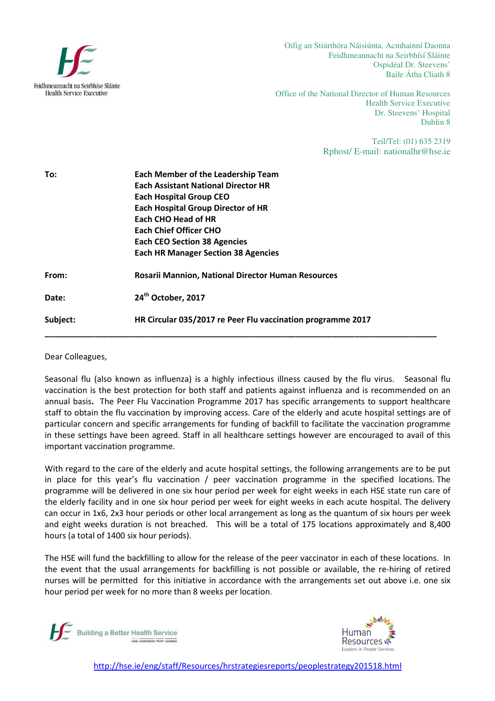

Oifig an Stiúrthóra Náisiúnta, Acmhainní Daonna Feidhmeannacht na Seirbhísí Sláinte Ospidéal Dr. Steevens' Baile Átha Cliath 8

Office of the National Director of Human Resources Health Service Executive Dr. Steevens' Hospital Dublin 8

> Teil/Tel: (01) 635 2319 Rphost/ E-mail: nationalhr@hse.ie

| To:      | <b>Each Member of the Leadership Team</b><br><b>Each Assistant National Director HR</b><br><b>Each Hospital Group CEO</b><br><b>Each Hospital Group Director of HR</b><br>Each CHO Head of HR<br><b>Each Chief Officer CHO</b><br><b>Each CEO Section 38 Agencies</b><br><b>Each HR Manager Section 38 Agencies</b> |
|----------|---------------------------------------------------------------------------------------------------------------------------------------------------------------------------------------------------------------------------------------------------------------------------------------------------------------------|
| From:    | <b>Rosarii Mannion, National Director Human Resources</b>                                                                                                                                                                                                                                                           |
| Date:    | 24 <sup>th</sup> October, 2017                                                                                                                                                                                                                                                                                      |
| Subject: | HR Circular 035/2017 re Peer Flu vaccination programme 2017                                                                                                                                                                                                                                                         |

Dear Colleagues,

Seasonal flu (also known as influenza) is a highly infectious illness caused by the flu virus. Seasonal flu vaccination is the best protection for both staff and patients against influenza and is recommended on an annual basis. The Peer Flu Vaccination Programme 2017 has specific arrangements to support healthcare staff to obtain the flu vaccination by improving access. Care of the elderly and acute hospital settings are of particular concern and specific arrangements for funding of backfill to facilitate the vaccination programme in these settings have been agreed. Staff in all healthcare settings however are encouraged to avail of this important vaccination programme.

With regard to the care of the elderly and acute hospital settings, the following arrangements are to be put in place for this year's flu vaccination / peer vaccination programme in the specified locations. The programme will be delivered in one six hour period per week for eight weeks in each HSE state run care of the elderly facility and in one six hour period per week for eight weeks in each acute hospital. The delivery can occur in 1x6, 2x3 hour periods or other local arrangement as long as the quantum of six hours per week and eight weeks duration is not breached. This will be a total of 175 locations approximately and 8,400 hours (a total of 1400 six hour periods).

The HSE will fund the backfilling to allow for the release of the peer vaccinator in each of these locations. In the event that the usual arrangements for backfilling is not possible or available, the re-hiring of retired nurses will be permitted for this initiative in accordance with the arrangements set out above i.e. one six hour period per week for no more than 8 weeks per location.





http://hse.ie/eng/staff/Resources/hrstrategiesreports/peoplestrategy201518.html